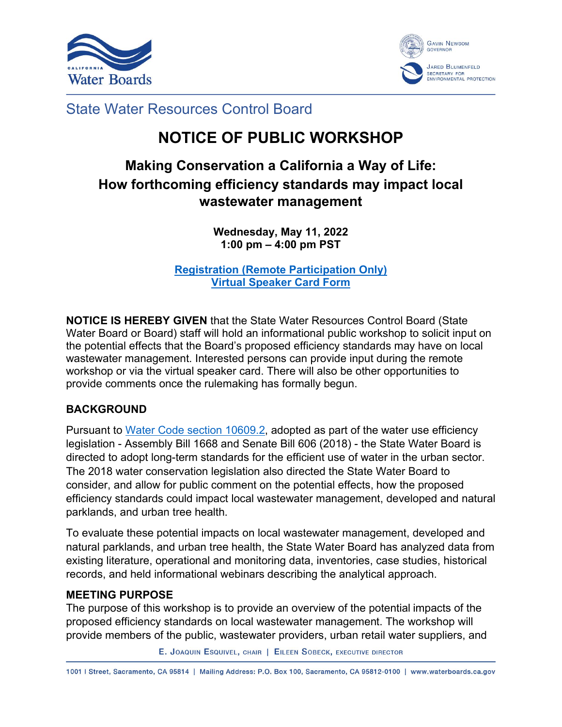



### State Water Resources Control Board

# **NOTICE OF PUBLIC WORKSHOP**

## **Making Conservation a California a Way of Life: How forthcoming efficiency standards may impact local wastewater management**

**Wednesday, May 11, 2022 1:00 pm – 4:00 pm PST**

**[Registration \(Remote Participation Only\)](https://waterboards.zoom.us/meeting/register/tJEqfuugqD8sGdauHAmLwceBDFcVKMe4gpz7) [Virtual Speaker Card Form](https://forms.office.com/Pages/ResponsePage.aspx?id=JWoY_kl95kGZQQXSKB02wTEP6c-bkQFBvdRJIJVhRrtUOUhEV05MMFgyMk1FRlBZOVVWODlDNjA5RC4u)**

**NOTICE IS HEREBY GIVEN** that the State Water Resources Control Board (State Water Board or Board) staff will hold an informational public workshop to solicit input on the potential effects that the Board's proposed efficiency standards may have on local wastewater management. Interested persons can provide input during the remote workshop or via the virtual speaker card. There will also be other opportunities to provide comments once the rulemaking has formally begun.

#### **BACKGROUND**

Pursuant to [Water Code section 10609.2,](https://leginfo.legislature.ca.gov/faces/codes_displaySection.xhtml?sectionNum=10609.2&lawCode=WAT) adopted as part of the water use efficiency legislation - Assembly Bill 1668 and Senate Bill 606 (2018) - the State Water Board is directed to adopt long-term standards for the efficient use of water in the urban sector. The 2018 water conservation legislation also directed the State Water Board to consider, and allow for public comment on the potential effects, how the proposed efficiency standards could impact local wastewater management, developed and natural parklands, and urban tree health.

To evaluate these potential impacts on local wastewater management, developed and natural parklands, and urban tree health, the State Water Board has analyzed data from existing literature, operational and monitoring data, inventories, case studies, historical records, and held informational webinars describing the analytical approach.

#### **MEETING PURPOSE**

The purpose of this workshop is to provide an overview of the potential impacts of the proposed efficiency standards on local wastewater management. The workshop will provide members of the public, wastewater providers, urban retail water suppliers, and

E. JOAQUIN ESQUIVEL, CHAIR | EILEEN SOBECK, EXECUTIVE DIRECTOR